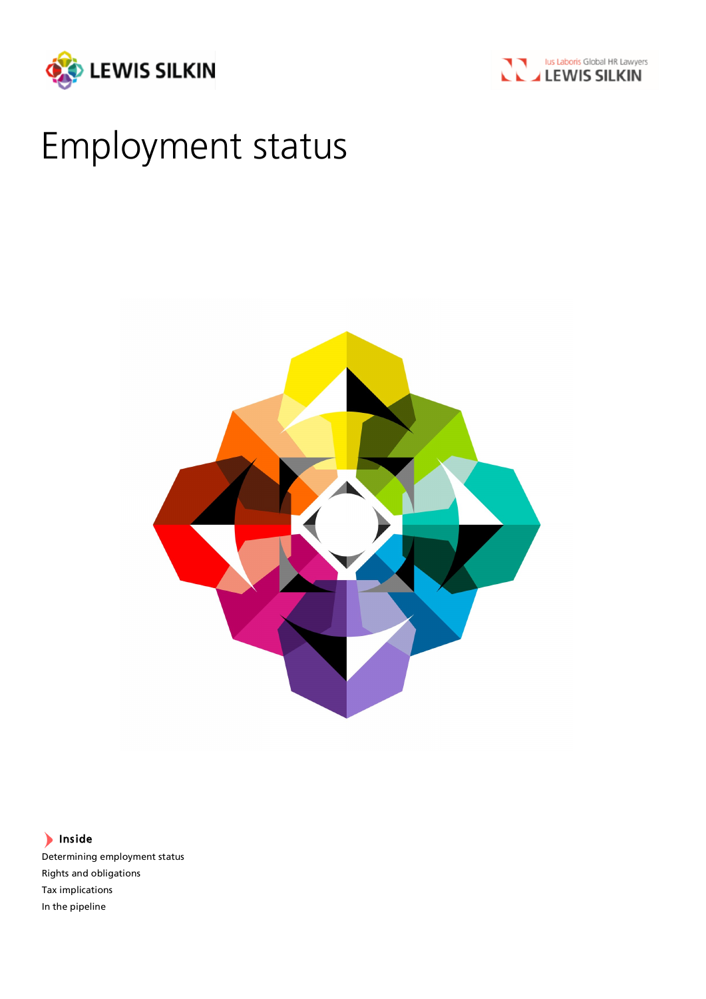



# Employment status



Inside

Determining employment status Rights and obligations Tax implications In the pipeline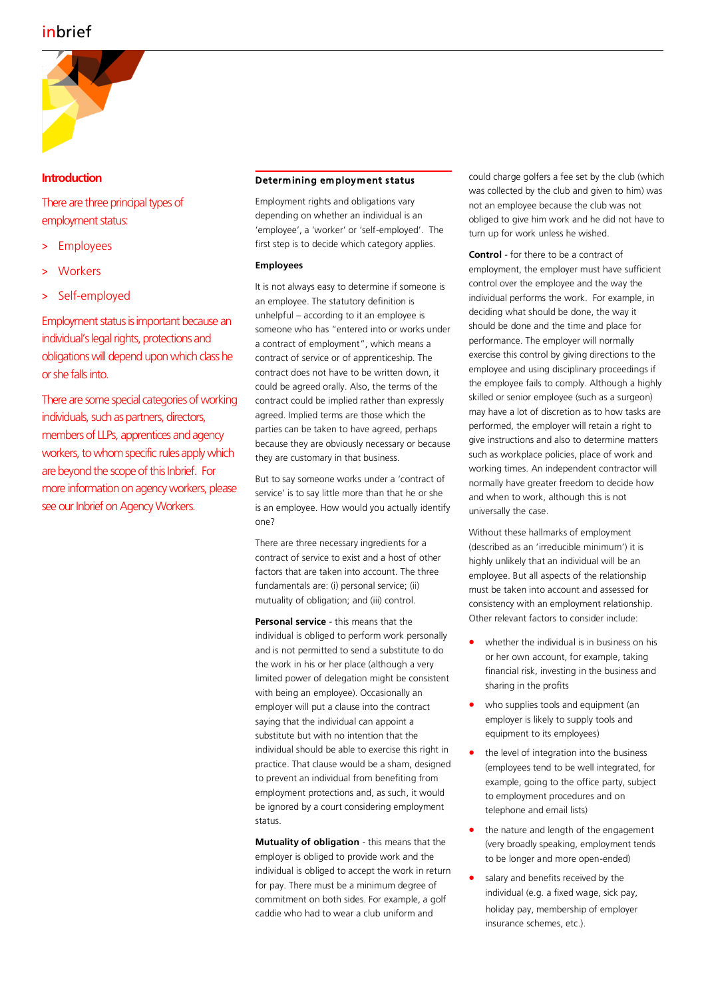# inbrief



# **Introduction**

There are three principal types of employment status:

- **Employees**
- > Workers
- Self-employed

Employment status is important because an individual's legal rights, protections and obligations will depend upon which class he or she falls into.

There are some special categories of working individuals, such as partners, directors, members of LLPs, apprentices and agency workers, to whom specific rules apply which are beyond the scope of this Inbrief. For more information on agency workers, please see our Inbrief on Agency Workers.

# Determining em ployment status

Employment rights and obligations vary depending on whether an individual is an 'employee', a 'worker' or 'self-employed'. The first step is to decide which category applies.

# **Employees**

It is not always easy to determine if someone is an employee. The statutory definition is unhelpful – according to it an employee is someone who has "entered into or works under a contract of employment", which means a contract of service or of apprenticeship. The contract does not have to be written down, it could be agreed orally. Also, the terms of the contract could be implied rather than expressly agreed. Implied terms are those which the parties can be taken to have agreed, perhaps because they are obviously necessary or because they are customary in that business.

But to say someone works under a 'contract of service' is to say little more than that he or she is an employee. How would you actually identify one?

There are three necessary ingredients for a contract of service to exist and a host of other factors that are taken into account. The three fundamentals are: (i) personal service; (ii) mutuality of obligation; and (iii) control.

**Personal service** - this means that the individual is obliged to perform work personally and is not permitted to send a substitute to do the work in his or her place (although a very limited power of delegation might be consistent with being an employee). Occasionally an employer will put a clause into the contract saying that the individual can appoint a substitute but with no intention that the individual should be able to exercise this right in practice. That clause would be a sham, designed to prevent an individual from benefiting from employment protections and, as such, it would be ignored by a court considering employment status.

**Mutuality of obligation** - this means that the employer is obliged to provide work and the individual is obliged to accept the work in return for pay. There must be a minimum degree of commitment on both sides. For example, a golf caddie who had to wear a club uniform and

could charge golfers a fee set by the club (which was collected by the club and given to him) was not an employee because the club was not obliged to give him work and he did not have to turn up for work unless he wished.

**Control** - for there to be a contract of employment, the employer must have sufficient control over the employee and the way the individual performs the work. For example, in deciding what should be done, the way it should be done and the time and place for performance. The employer will normally exercise this control by giving directions to the employee and using disciplinary proceedings if the employee fails to comply. Although a highly skilled or senior employee (such as a surgeon) may have a lot of discretion as to how tasks are performed, the employer will retain a right to give instructions and also to determine matters such as workplace policies, place of work and working times. An independent contractor will normally have greater freedom to decide how and when to work, although this is not universally the case.

Without these hallmarks of employment (described as an 'irreducible minimum') it is highly unlikely that an individual will be an employee. But all aspects of the relationship must be taken into account and assessed for consistency with an employment relationship. Other relevant factors to consider include:

- whether the individual is in business on his or her own account, for example, taking financial risk, investing in the business and sharing in the profits
- who supplies tools and equipment (an employer is likely to supply tools and equipment to its employees)
- the level of integration into the business (employees tend to be well integrated, for example, going to the office party, subject to employment procedures and on telephone and email lists)
- the nature and length of the engagement (very broadly speaking, employment tends to be longer and more open-ended)
- salary and benefits received by the individual (e.g. a fixed wage, sick pay, holiday pay, membership of employer insurance schemes, etc.).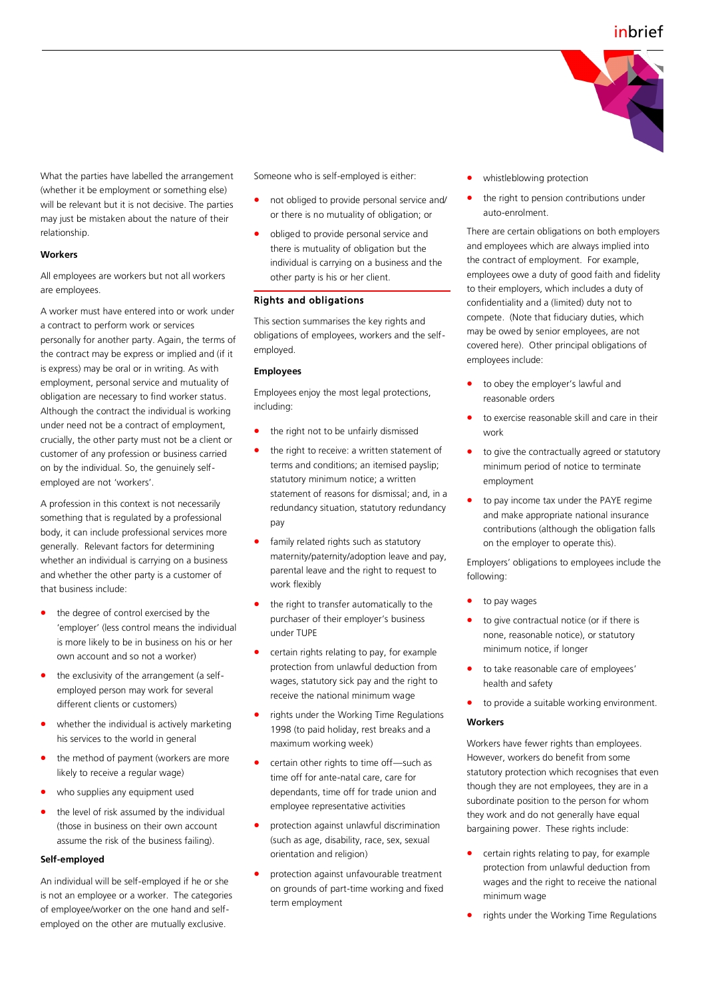

What the parties have labelled the arrangement (whether it be employment or something else) will be relevant but it is not decisive. The parties may just be mistaken about the nature of their relationship.

#### **Workers**

All employees are workers but not all workers are employees.

A worker must have entered into or work under a contract to perform work or services personally for another party. Again, the terms of the contract may be express or implied and (if it is express) may be oral or in writing. As with employment, personal service and mutuality of obligation are necessary to find worker status. Although the contract the individual is working under need not be a contract of employment, crucially, the other party must not be a client or customer of any profession or business carried on by the individual. So, the genuinely selfemployed are not 'workers'.

A profession in this context is not necessarily something that is regulated by a professional body, it can include professional services more generally. Relevant factors for determining whether an individual is carrying on a business and whether the other party is a customer of that business include:

- the degree of control exercised by the 'employer' (less control means the individual is more likely to be in business on his or her own account and so not a worker)
- the exclusivity of the arrangement (a selfemployed person may work for several different clients or customers)
- whether the individual is actively marketing his services to the world in general
- the method of payment (workers are more likely to receive a regular wage)
- who supplies any equipment used
- the level of risk assumed by the individual (those in business on their own account assume the risk of the business failing).

#### **Self-employed**

An individual will be self-employed if he or she is not an employee or a worker. The categories of employee/worker on the one hand and selfemployed on the other are mutually exclusive.

Someone who is self-employed is either:

- not obliged to provide personal service and/ or there is no mutuality of obligation; or
- obliged to provide personal service and there is mutuality of obligation but the individual is carrying on a business and the other party is his or her client.

# Rights and obligations

This section summarises the key rights and obligations of employees, workers and the selfemployed.

#### **Employees**

Employees enjoy the most legal protections, including:

- the right not to be unfairly dismissed
- the right to receive: a written statement of terms and conditions; an itemised payslip; statutory minimum notice; a written statement of reasons for dismissal; and, in a redundancy situation, statutory redundancy pay
- family related rights such as statutory maternity/paternity/adoption leave and pay, parental leave and the right to request to work flexibly
- the right to transfer automatically to the purchaser of their employer's business under TUPE
- certain rights relating to pay, for example protection from unlawful deduction from wages, statutory sick pay and the right to receive the national minimum wage
- rights under the Working Time Regulations 1998 (to paid holiday, rest breaks and a maximum working week)
- certain other rights to time off—such as time off for ante-natal care, care for dependants, time off for trade union and employee representative activities
- protection against unlawful discrimination (such as age, disability, race, sex, sexual orientation and religion)
- protection against unfavourable treatment on grounds of part-time working and fixed term employment
- whistleblowing protection
- the right to pension contributions under auto-enrolment.

There are certain obligations on both employers and employees which are always implied into the contract of employment. For example, employees owe a duty of good faith and fidelity to their employers, which includes a duty of confidentiality and a (limited) duty not to compete. (Note that fiduciary duties, which may be owed by senior employees, are not covered here). Other principal obligations of employees include:

- to obey the employer's lawful and reasonable orders
- to exercise reasonable skill and care in their work
- to give the contractually agreed or statutory minimum period of notice to terminate employment
- to pay income tax under the PAYE regime and make appropriate national insurance contributions (although the obligation falls on the employer to operate this).

Employers' obligations to employees include the following:

- to pay wages
- to give contractual notice (or if there is none, reasonable notice), or statutory minimum notice, if longer
- to take reasonable care of employees' health and safety
- to provide a suitable working environment.

#### **Workers**

Workers have fewer rights than employees. However, workers do benefit from some statutory protection which recognises that even though they are not employees, they are in a subordinate position to the person for whom they work and do not generally have equal bargaining power. These rights include:

- certain rights relating to pay, for example protection from unlawful deduction from wages and the right to receive the national minimum wage
- rights under the Working Time Regulations